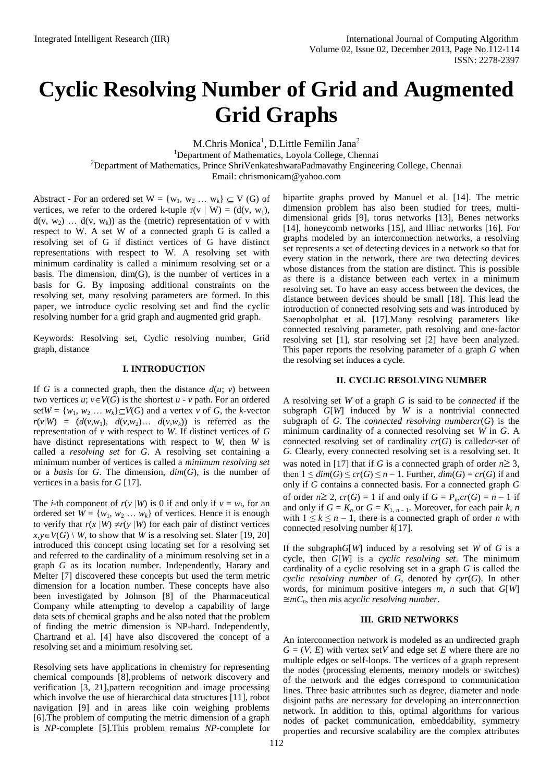# **Cyclic Resolving Number of Grid and Augmented Grid Graphs**

M.Chris Monica<sup>1</sup>, D.Little Femilin Jana<sup>2</sup> <sup>1</sup>Department of Mathematics, Loyola College, Chennai <sup>2</sup>Department of Mathematics, Prince ShriVenkateshwaraPadmavathy Engineering College, Chennai Email: [chrismonicam@yahoo.com](mailto:chrismonicam@yahoo.com)

Abstract - For an ordered set  $W = \{w_1, w_2 \dots w_k\} \subseteq V(G)$  of vertices, we refer to the ordered k-tuple  $r(v | W) = (d(v, w_1),$  $d(v, w_2) \ldots d(v, w_k)$  as the (metric) representation of v with respect to W. A set W of a connected graph G is called a resolving set of G if distinct vertices of G have distinct representations with respect to W. A resolving set with minimum cardinality is called a minimum resolving set or a basis. The dimension,  $dim(G)$ , is the number of vertices in a basis for G. By imposing additional constraints on the resolving set, many resolving parameters are formed. In this paper, we introduce cyclic resolving set and find the cyclic resolving number for a grid graph and augmented grid graph.

Keywords: Resolving set, Cyclic resolving number, Grid graph, distance

#### **I. INTRODUCTION**

If *G* is a connected graph, then the distance  $d(u; v)$  between two vertices  $u$ ;  $v \in V(G)$  is the shortest  $u - v$  path. For an ordered set $W = \{w_1, w_2, \ldots, w_k\} \subseteq V(G)$  and a vertex *v* of *G*, the *k*-vector  $r(v|W) = (d(v,w_1), d(v,w_2), \ldots d(v,w_k))$  is referred as the representation of *v* with respect to *W*. If distinct vertices of *G* have distinct representations with respect to *W*, then *W* is called a *resolving set* for *G*. A resolving set containing a minimum number of vertices is called a *minimum resolving set* or a *basis* for *G*. The dimension, *dim*(*G*), is the number of vertices in a basis for *G* [17].

The *i*-th component of  $r(v | W)$  is 0 if and only if  $v = w_i$ , for an ordered set  $W = \{w_1, w_2, \dots, w_k\}$  of vertices. Hence it is enough to verify that  $r(x | W) \neq r(y | W)$  for each pair of distinct vertices  $x, y \in V(G) \setminus W$ , to show that *W* is a resolving set. Slater [19, 20] introduced this concept using locating set for a resolving set and referred to the cardinality of a minimum resolving set in a graph *G* as its location number. Independently, Harary and Melter [7] discovered these concepts but used the term metric dimension for a location number. These concepts have also been investigated by Johnson [8] of the Pharmaceutical Company while attempting to develop a capability of large data sets of chemical graphs and he also noted that the problem of finding the metric dimension is NP-hard. Independently, Chartrand et al. [4] have also discovered the concept of a resolving set and a minimum resolving set.

Resolving sets have applications in chemistry for representing chemical compounds [8],problems of network discovery and verification [3, 21],pattern recognition and image processing which involve the use of hierarchical data structures [11], robot navigation [9] and in areas like coin weighing problems [6].The problem of computing the metric dimension of a graph is *NP*-complete [5].This problem remains *NP*-complete for

bipartite graphs proved by Manuel et al. [14]. The metric dimension problem has also been studied for trees, multidimensional grids [9], torus networks [13], Benes networks [14], honeycomb networks [15], and Illiac networks [16]. For graphs modeled by an interconnection networks, a resolving set represents a set of detecting devices in a network so that for every station in the network, there are two detecting devices whose distances from the station are distinct. This is possible as there is a distance between each vertex in a minimum resolving set. To have an easy access between the devices, the distance between devices should be small [18]. This lead the introduction of connected resolving sets and was introduced by Saenopholphat et al. [17].Many resolving parameters like connected resolving parameter, path resolving and one-factor resolving set [1], star resolving set [2] have been analyzed. This paper reports the resolving parameter of a graph *G* when the resolving set induces a cycle.

## **II. CYCLIC RESOLVING NUMBER**

A resolving set *W* of a graph *G* is said to be *connected* if the subgraph *G*[*W*] induced by *W* is a nontrivial connected subgraph of *G*. The *connected resolving numbercr*(*G*) is the minimum cardinality of a connected resolving set *W* in *G*. A connected resolving set of cardinality *cr*(*G*) is called*cr-set* of *G*. Clearly, every connected resolving set is a resolving set. It was noted in [17] that if *G* is a connected graph of order  $n \ge 3$ , then  $1 \leq dim(G) \leq cr(G) \leq n-1$ . Further,  $dim(G) = cr(G)$  if and only if *G* contains a connected basis. For a connected graph *G* of order  $n \geq 2$ ,  $cr(G) = 1$  if and only if  $G = P_n, cr(G) = n - 1$  if and only if  $G = K_n$  or  $G = K_{1, n-1}$ . Moreover, for each pair  $k, n$ with  $1 \leq k \leq n-1$ , there is a connected graph of order *n* with connected resolving number *k*[17].

If the subgraph*G*[*W*] induced by a resolving set *W* of *G* is a cycle, then *G*[*W*] is a *cyclic resolving set*. The minimum cardinality of a cyclic resolving set in a graph *G* is called the *cyclic resolving number* of *G*, denoted by *cyr*(*G*). In other words, for minimum positive integers *m*, *n* such that *G*[*W*]  $\cong$ *mC*<sub>*n*</sub>, then *m*is acyclic resolving number.

#### **III. GRID NETWORKS**

An interconnection network is modeled as an undirected graph  $G = (V, E)$  with vertex set *V* and edge set *E* where there are no multiple edges or self-loops. The vertices of a graph represent the nodes (processing elements, memory models or switches) of the network and the edges correspond to communication lines. Three basic attributes such as degree, diameter and node disjoint paths are necessary for developing an interconnection network. In addition to this, optimal algorithms for various nodes of packet communication, embeddability, symmetry properties and recursive scalability are the complex attributes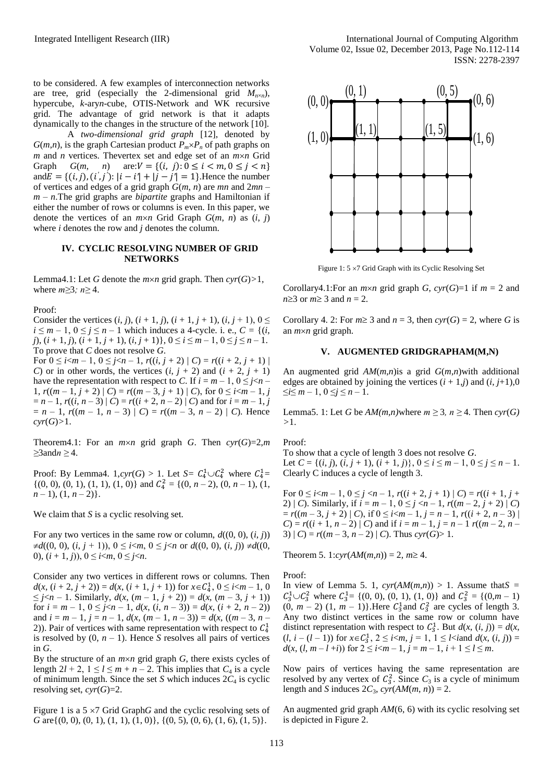to be considered. A few examples of interconnection networks are tree, grid (especially the 2-dimensional grid  $M_{n\times n}$ ), hypercube, *k*-ary*n*-cube, OTIS-Network and WK recursive grid. The advantage of grid network is that it adapts dynamically to the changes in the structure of the network [10].

A *two-dimensional grid graph* [12], denoted by *G*(*m*,*n*), is the graph Cartesian product  $P_m \times P_n$  of path graphs on  $m$  and  $n$  vertices. Thevertex set and edge set of an  $m \times n$  Grid Graph  $G(m, n)$  are:  $V = \{(i, j): 0 \le i \le m, 0 \le j \le n\}$ and  $E = \{(i, j), (i', j') : |i - i'| + |j - j'| = 1\}$ . Hence the number of vertices and edges of a grid graph *G*(*m*, *n*) are *mn* and 2*mn* – *m* – *n*.The grid graphs are *bipartite* graphs and Hamiltonian if either the number of rows or columns is even. In this paper, we denote the vertices of an  $m \times n$  Grid Graph  $G(m, n)$  as  $(i, j)$ where *i* denotes the row and *j* denotes the column.

#### **IV. CYCLIC RESOLVING NUMBER OF GRID NETWORKS**

Lemma4.1: Let *G* denote the *m*×*n* grid graph. Then  $\text{cyr}(G) > 1$ , where *m≥*3*; n≥* 4.

Proof:

Consider the vertices  $(i, j)$ ,  $(i + 1, j)$ ,  $(i + 1, j + 1)$ ,  $(i, j + 1)$ ,  $0 \leq$  $i \leq m-1$ ,  $0 \leq j \leq n-1$  which induces a 4-cycle. i. e.,  $C = \{(i, j)\}$ *j*), (*i* + 1, *j*), (*i* + 1, *j* + 1), (*i*, *j* + 1)}, 0 ≤ *i* ≤ *m* – 1, 0 ≤ *j* ≤ *n* – 1. To prove that *C* does not resolve *G*.

For  $0 \le i < m - 1$ ,  $0 \le j < n - 1$ ,  $r((i, j + 2) | C) = r((i + 2, j + 1) | C)$ *C*) or in other words, the vertices  $(i, j + 2)$  and  $(i + 2, j + 1)$ have the representation with respect to *C*. If  $i = m - 1$ ,  $0 \le j \le n - 1$ 1,  $r((m-1, j+2) | C) = r((m-3, j+1) | C)$ , for  $0 \le i < m-1, j$  $=n-1$ ,  $r((i, n-3) | C) = r((i + 2, n-2) | C)$  and for  $i = m-1$ , *j*  $= n - 1$ ,  $r((m - 1, n - 3) | C) = r((m - 3, n - 2) | C)$ . Hence  $cyr(G) > 1$ .

Theorem4.1: For an  $m \times n$  grid graph *G*. Then  $\mathit{cyc}(G)=2,m$ *≥*3and*n ≥* 4.

Proof: By Lemma4.  $1$ ,  $\text{cyr}(G) > 1$ . Let  $S = C_4^1 \cup C_4^2$  where  $C_4^1 =$  $\{(0, 0), (0, 1), (1, 1), (1, 0)\}$  and  $C_4^2 = \{(0, n-2), (0, n-1), (1,$  $n-1$ ,  $(1, n-2)$ .

We claim that *S* is a cyclic resolving set.

For any two vertices in the same row or column,  $d((0, 0), (i, j))$  $\neq d((0, 0), (i, j + 1)), 0 \leq i < m, 0 \leq j < n$  or  $d((0, 0), (i, j)) \neq d((0, j)$ 0),  $(i + 1, j)$ ,  $0 \le i < m, 0 \le j < n$ .

Consider any two vertices in different rows or columns. Then  $d(x, (i + 2, j + 2)) = d(x, (i + 1, j + 1))$  for  $x \in C_4^1$ ,  $0 \le i < m - 1, 0$ ≤ *j* <*n* − 1. Similarly,  $d(x, (m − 1, j + 2)) = d(x, (m − 3, j + 1))$ for  $i = m - 1$ ,  $0 \le j < n - 1$ ,  $d(x, (i, n - 3)) = d(x, (i + 2, n - 2))$ and  $i = m - 1$ ,  $j = n - 1$ ,  $d(x, (m - 1, n - 3)) = d(x, ((m - 3, n - 1))$ 2)). Pair of vertices with same representation with respect to  $C_4^1$ is resolved by  $(0, n - 1)$ . Hence *S* resolves all pairs of vertices in *G*.

By the structure of an  $m \times n$  grid graph *G*, there exists cycles of length  $2l + 2$ ,  $1 \le l \le m + n - 2$ . This implies that  $C_4$  is a cycle of minimum length. Since the set *S* which induces  $2C_4$  is cyclic resolving set, *cyr*(*G*)=2.

Figure 1 is a  $5 \times 7$  Grid Graph*G* and the cyclic resolving sets of *G* are $\{(0, 0), (0, 1), (1, 1), (1, 0)\}, \{(0, 5), (0, 6), (1, 6), (1, 5)\}.$ 



Figure 1:  $5 \times 7$  Grid Graph with its Cyclic Resolving Set

Corollary4.1:For an  $m \times n$  grid graph *G*,  $c \gamma r(G)=1$  if  $m = 2$  and  $n \geq 3$  or  $m \geq 3$  and  $n = 2$ .

Corollary 4. 2: For  $m \geq 3$  and  $n = 3$ , then  $\text{cyr}(G) = 2$ , where *G* is an *mn* grid graph.

#### **V. AUGMENTED GRIDGRAPHAM(M,N)**

An augmented grid *AM*(*m*,*n*)is a grid *G*(*m*,*n*)with additional edges are obtained by joining the vertices  $(i + 1, j)$  and  $(i, j+1)$ ,0  $\leq i \leq m-1, 0 \leq j \leq n-1.$ 

Lemma5. 1: Let *G* be  $AM(m, n)$  where  $m \geq 3$ ,  $n \geq 4$ . Then  $\text{cvr}(G)$ *>*1.

Proof:

To show that a cycle of length 3 does not resolve *G*. Let  $C = \{(i, j), (i, j + 1), (i + 1, j)\}, 0 \le i \le m - 1, 0 \le j \le n - 1.$ Clearly C induces a cycle of length 3.

For  $0 \le i < m - 1$ ,  $0 \le j < n - 1$ ,  $r((i + 2, j + 1) | C) = r((i + 1, j +$ 2) | *C*). Similarly, if  $i = m - 1$ ,  $0 \le j < n - 1$ ,  $r((m - 2, j + 2) | C)$  $= r((m-3, j+2) | C)$ , if  $0 \leq i < m-1$ ,  $j = n-1$ ,  $r((i+2, n-3) | C)$ *C*) =  $r((i + 1, n - 2) | C)$  and if  $i = m - 1, j = n - 1$   $r((m - 2, n - 1))$ 3)  $|C| = r((m-3, n-2) | C)$ . Thus  $\text{cvr}(G) > 1$ .

Theorem 5. 1: $\text{cvr}(AM(m,n)) = 2$ ,  $m \geq 4$ .

Proof:

In view of Lemma 5. 1,  $cyr(AM(m,n)) > 1$ . Assume that  $S =$  $C_3^1 \cup C_3^2$  where  $C_3^1 = \{(0, 0), (0, 1), (1, 0)\}$  and  $C_3^2 = \{(0, m - 1)\}$  $(0, m - 2)$   $(1, m - 1)$ . Here  $C_3^1$  and  $C_3^2$  are cycles of length 3. Any two distinct vertices in the same row or column have distinct representation with respect to  $C_3^1$ . But  $d(x, (i, j)) = d(x, j)$  $(l, i - (l - 1))$  for  $x \in C_3^1$ ,  $2 \le i < m$ ,  $j = 1, 1 \le l < i$  and  $d(x, (i, j)) =$  $d(x, (l, m-l+i))$  for  $2 \le i < m-1$ ,  $j = m-1$ ,  $i+1 \le l \le m$ .

Now pairs of vertices having the same representation are resolved by any vertex of  $C_3^2$ . Since  $C_3$  is a cycle of minimum length and *S* induces  $2C_3$ ,  $cyr(AM(m, n)) = 2$ .

An augmented grid graph *AM*(6, 6) with its cyclic resolving set is depicted in Figure 2.